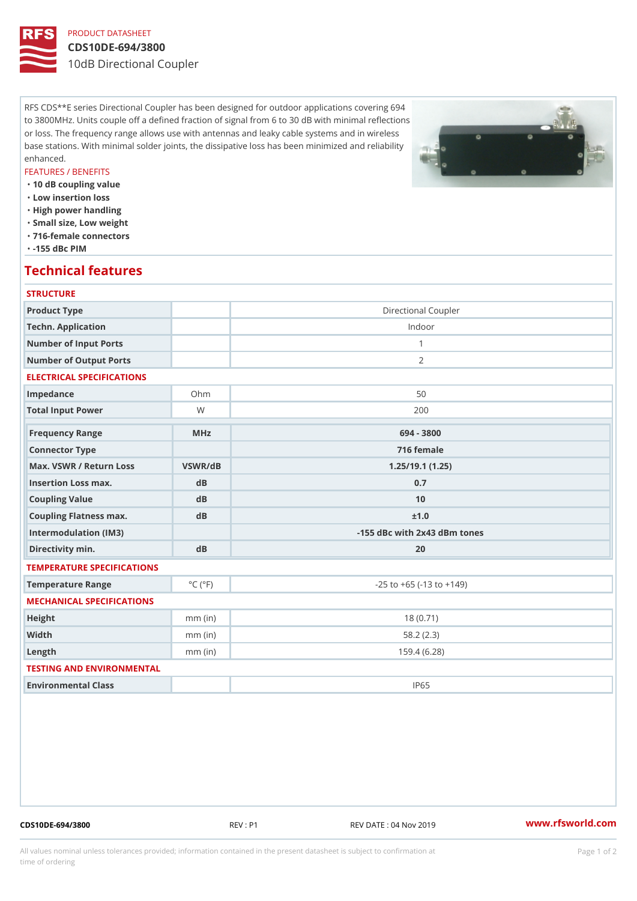# PRODUCT DATASHEET

### CDS10DE-694/3800

10dB Directional Coupler

RFS CDS\*\*E series Directional Coupler has been designed for outdoor applications covering 694 to 3800MHz. Units couple off a defined fraction of signal from 6 to 30 dB with minimal reflections or loss. The frequency range allows use with antennas and leaky cable systems and in wireless base stations. With minimal solder joints, the dissipative loss has been minimized and reliability enhanced.

### FEATURES / BENEFITS

 "10 dB coupling value "Low insertion loss "High power handling

- "Small size, Low weight
- "716-female connectors

"-155 dBc PIM

# Technical features

# **STRUCTURE** Product Type **Directional Coupler** Techn. Application **Indoor** Number of Input Ports 1 Number of Output Ports 2 ELECTRICAL SPECIFICATIONS Impedance Ohm 0hm 50 Total Input Power W 200 Frequency Range MHz 694 - 3800 Connector Type 716 female Max. VSWR / Return LossVSWR/dB 1.25/19.1 (1.25) Insertion Loss max. dB dB 0.7 Coupling Value dB dB 10 Coupling Flatness max. dB  $\pm 1.0$ Intermodulation (IM3)  $\vert$  -155 dBc with 2x43 dBm tones Directivity min. dB 20 TEMPERATURE SPECIFICATIONS Temperature Range  $\begin{array}{c} \circ \text{C} \\ \circ \text{C} \end{array}$  (°F) -25 to +65 (-13 to +149) MECHANICAL SPECIFICATIONS Height mm (in) 18 (0.71) Width **mm** (in) 58.2 (2.3) Length mm (in) 159.4 (6.28) TESTING AND ENVIRONMENTAL Environmental Class IP65

CDS10DE-694/3800 REV : P1 REV DATE : 04 Nov 2019 [www.](https://www.rfsworld.com)rfsworld.com

All values nominal unless tolerances provided; information contained in the present datasheet is subject to Pcapgeign manation time of ordering